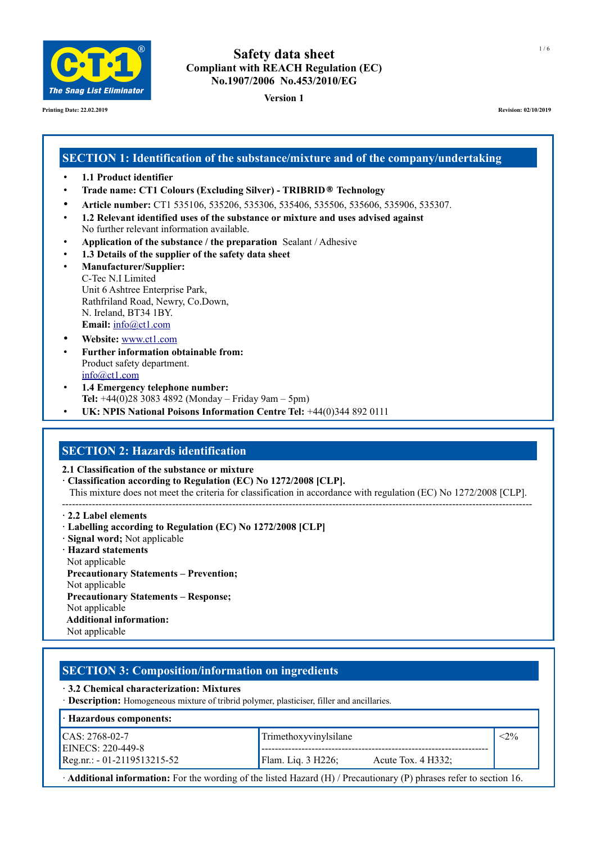

**Printing Date: 22.02.2019 Revision: 02/10/2019**

# **Safety data sheet Compliant with REACH Regulation (EC) No.1907/2006 No.453/2010/EG**

**Version 1**

# **SECTION 1: Identification of the substance/mixture and of the company/undertaking**

- **1.1 Product identifier**
- **Trade name: CT1 Colours (Excluding Silver) TRIBRID® Technology**
- **Article number:** CT1 535106, 535206, 535306, 535406, 535506, 535606, 535906, 535307.
- **1.2 Relevant identified uses of the substance or mixture and uses advised against** No further relevant information available.
- **Application of the substance / the preparation** Sealant / Adhesive
- **1.3 Details of the supplier of the safety data sheet**
- **Manufacturer/Supplier:** C-Tec N.I Limited Unit 6 Ashtree Enterprise Park, Rathfriland Road, Newry, Co.Down, N. Ireland, BT34 1BY. **Email:** [info@ct1.com](mailto:info@ct1ltd.com)
- **Website:** [www.ct1.com](http://www.ct1ltd.com/)
- **Further information obtainable from:** Product safety department. [info@ct1.com](mailto:info@ct1ltd.com)
- **1.4 Emergency telephone number: Tel:** +44(0)28 3083 4892 (Monday – Friday 9am – 5pm)
- **UK: NPIS National Poisons Information Centre Tel:** +44(0)344 892 0111

### **SECTION 2: Hazards identification**

**2.1 Classification of the substance or mixture**

**· Classification according to Regulation (EC) No 1272/2008 [CLP].** 

This mixture does not meet the criteria for classification in accordance with regulation (EC) No 1272/2008 [CLP].

--------------------------------------------------------------------------------------------------------------------------------------------- **· 2.2 Label elements**

- **· Labelling according to Regulation (EC) No 1272/2008 [CLP]**
- **· Signal word;** Not applicable
- **· Hazard statements** Not applicable  **Precautionary Statements – Prevention;** Not applicable  **Precautionary Statements – Response;** Not applicable **Additional information:** Not applicable

# **SECTION 3: Composition/information on ingredients**

**· 3.2 Chemical characterization: Mixtures**

· **Description:** Homogeneous mixture of tribrid polymer, plasticiser, filler and ancillaries.

| $\cdot$ Hazardous components:                 |                                                   |  |
|-----------------------------------------------|---------------------------------------------------|--|
| $ICAS: 2768-02-7$<br><b>EINECS: 220-449-8</b> | Trimethoxyvinylsilane                             |  |
| $[Reg.nr.: -01-2119513215-52]$                | <b>Flam.</b> Liq. 3 H226;<br>Acute Tox. $4$ H332; |  |

· **Additional information:** For the wording of the listed Hazard (H) / Precautionary (P) phrases refer to section 16.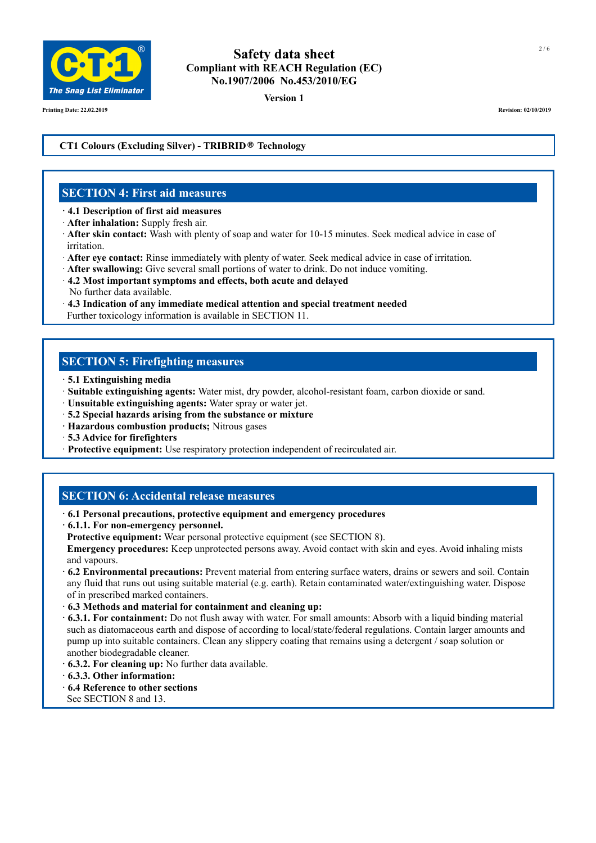

**Version 1**

**Printing Date: 22.02.2019 Revision: 02/10/2019**

#### **CT1 Colours (Excluding Silver) - TRIBRID® Technology**

#### **SECTION 4: First aid measures**

- **· 4.1 Description of first aid measures**
- · **After inhalation:** Supply fresh air.
- · **After skin contact:** Wash with plenty of soap and water for 10-15 minutes. Seek medical advice in case of irritation.
- · **After eye contact:** Rinse immediately with plenty of water. Seek medical advice in case of irritation.
- · **After swallowing:** Give several small portions of water to drink. Do not induce vomiting.
- · **4.2 Most important symptoms and effects, both acute and delayed** No further data available.
- · **4.3 Indication of any immediate medical attention and special treatment needed**
- Further toxicology information is available in SECTION 11.

#### **SECTION 5: Firefighting measures**

- **· 5.1 Extinguishing media**
- · **Suitable extinguishing agents:** Water mist, dry powder, alcohol-resistant foam, carbon dioxide or sand.
- · **Unsuitable extinguishing agents:** Water spray or water jet.
- · **5.2 Special hazards arising from the substance or mixture**
- **· Hazardous combustion products;** Nitrous gases
- · **5.3 Advice for firefighters**
- · **Protective equipment:** Use respiratory protection independent of recirculated air.

#### **SECTION 6: Accidental release measures**

- **· 6.1 Personal precautions, protective equipment and emergency procedures**
- **· 6.1.1. For non-emergency personnel.**
- **Protective equipment:** Wear personal protective equipment (see SECTION 8).

 **Emergency procedures:** Keep unprotected persons away. Avoid contact with skin and eyes. Avoid inhaling mists and vapours.

- **· 6.2 Environmental precautions:** Prevent material from entering surface waters, drains or sewers and soil. Contain any fluid that runs out using suitable material (e.g. earth). Retain contaminated water/extinguishing water. Dispose of in prescribed marked containers.
- **· 6.3 Methods and material for containment and cleaning up:**
- **· 6.3.1. For containment:** Do not flush away with water. For small amounts: Absorb with a liquid binding material such as diatomaceous earth and dispose of according to local/state/federal regulations. Contain larger amounts and pump up into suitable containers. Clean any slippery coating that remains using a detergent / soap solution or another biodegradable cleaner.
- **· 6.3.2. For cleaning up:** No further data available.
- **· 6.3.3. Other information:**
- **· 6.4 Reference to other sections**
- See SECTION 8 and 13.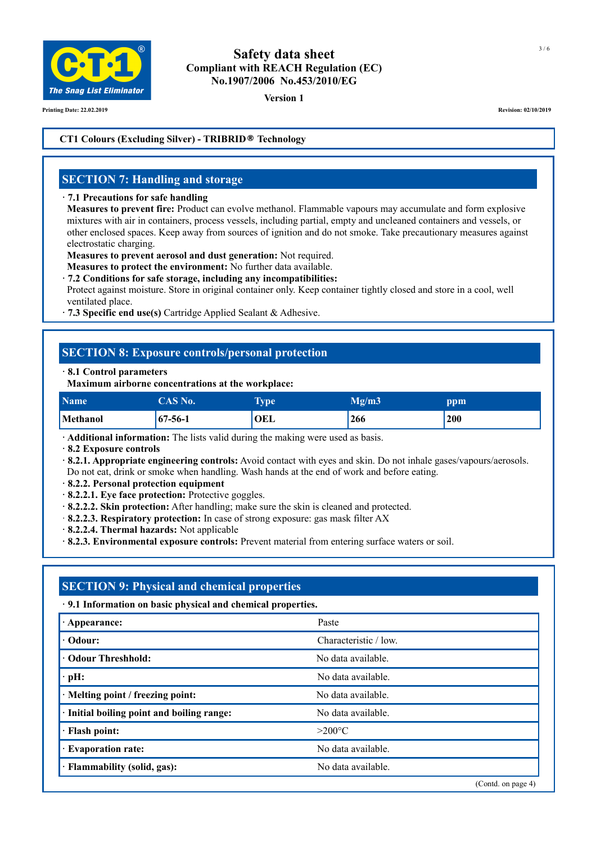

**Version 1**

**Printing Date: 22.02.2019 Revision: 02/10/2019**

#### **CT1 Colours (Excluding Silver) - TRIBRID® Technology**

#### **SECTION 7: Handling and storage**

#### **· 7.1 Precautions for safe handling**

 **Measures to prevent fire:** Product can evolve methanol. Flammable vapours may accumulate and form explosive mixtures with air in containers, process vessels, including partial, empty and uncleaned containers and vessels, or other enclosed spaces. Keep away from sources of ignition and do not smoke. Take precautionary measures against electrostatic charging.

**Measures to prevent aerosol and dust generation:** Not required.

**Measures to protect the environment:** No further data available.

**· 7.2 Conditions for safe storage, including any incompatibilities:**

 Protect against moisture. Store in original container only. Keep container tightly closed and store in a cool, well ventilated place.

**· 7.3 Specific end use(s)** Cartridge Applied Sealant & Adhesive.

#### **SECTION 8: Exposure controls/personal protection**

#### **· 8.1 Control parameters**

 **Maximum airborne concentrations at the workplace:**

| <b>Name</b> | CAS No.       | <b>Type</b> | Mg/m3 | ppm |
|-------------|---------------|-------------|-------|-----|
| Methanol    | $67 - 56 - 1$ | OEL         | 266   | 200 |

**· Additional information:** The lists valid during the making were used as basis.

**· 8.2 Exposure controls**

**· 8.2.1. Appropriate engineering controls:** Avoid contact with eyes and skin. Do not inhale gases/vapours/aerosols. Do not eat, drink or smoke when handling. Wash hands at the end of work and before eating.

**· 8.2.2. Personal protection equipment**

**· 8.2.2.1. Eye face protection:** Protective goggles.

**· 8.2.2.2. Skin protection:** After handling; make sure the skin is cleaned and protected.

- · **8.2.2.3. Respiratory protection:** In case of strong exposure: gas mask filter AX
- **· 8.2.2.4. Thermal hazards:** Not applicable

**· 8.2.3. Environmental exposure controls:** Prevent material from entering surface waters or soil.

# **SECTION 9: Physical and chemical properties**

**· 9.1 Information on basic physical and chemical properties.**

| $\cdot$ Appearance:                        | Paste                 |
|--------------------------------------------|-----------------------|
| $\cdot$ Odour:                             | Characteristic / low. |
| <b>• Odour Threshhold:</b>                 | No data available.    |
| $\cdot$ pH:                                | No data available.    |
| · Melting point / freezing point:          | No data available.    |
| · Initial boiling point and boiling range: | No data available.    |
| · Flash point:                             | $>200^{\circ}$ C      |
| <b>Evaporation rate:</b>                   | No data available.    |
| · Flammability (solid, gas):               | No data available.    |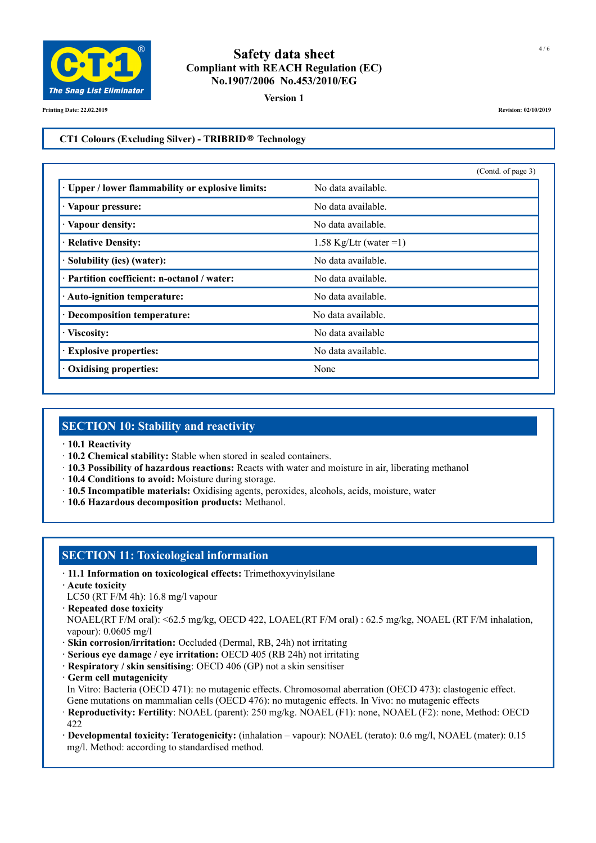

**Version 1**

**Printing Date: 22.02.2019 Revision: 02/10/2019**

#### **CT1 Colours (Excluding Silver) - TRIBRID® Technology**

|                                                        | (Contd. of page 3)      |
|--------------------------------------------------------|-------------------------|
| <b>Upper / lower flammability or explosive limits:</b> | No data available.      |
| · Vapour pressure:                                     | No data available.      |
| · Vapour density:                                      | No data available.      |
| · Relative Density:                                    | 1.58 Kg/Ltr (water = 1) |
| Solubility (ies) (water):                              | No data available.      |
| · Partition coefficient: n-octanol / water:            | No data available.      |
| · Auto-ignition temperature:                           | No data available.      |
| · Decomposition temperature:                           | No data available.      |
| · Viscosity:                                           | No data available       |
| · Explosive properties:                                | No data available.      |
| <b>Oxidising properties:</b>                           | None                    |

#### **SECTION 10: Stability and reactivity**

- **· 10.1 Reactivity**
- · **10.2 Chemical stability:** Stable when stored in sealed containers.
- · **10.3 Possibility of hazardous reactions:** Reacts with water and moisture in air, liberating methanol
- · **10.4 Conditions to avoid:** Moisture during storage.
- · **10.5 Incompatible materials:** Oxidising agents, peroxides, alcohols, acids, moisture, water
- · **10.6 Hazardous decomposition products:** Methanol.

### **SECTION 11: Toxicological information**

- **· 11.1 Information on toxicological effects:** Trimethoxyvinylsilane
- **· Acute toxicity**
- LC50 (RT F/M 4h): 16.8 mg/l vapour
- **· Repeated dose toxicity**

NOAEL(RT F/M oral): <62.5 mg/kg, OECD 422, LOAEL(RT F/M oral) : 62.5 mg/kg, NOAEL (RT F/M inhalation, vapour): 0.0605 mg/l

- **· Skin corrosion/irritation:** Occluded (Dermal, RB, 24h) not irritating
- **· Serious eye damage / eye irritation:** OECD 405 (RB 24h) not irritating
- **· Respiratory / skin sensitising**: OECD 406 (GP) not a skin sensitiser
- **· Germ cell mutagenicity**

 In Vitro: Bacteria (OECD 471): no mutagenic effects. Chromosomal aberration (OECD 473): clastogenic effect. Gene mutations on mammalian cells (OECD 476): no mutagenic effects. In Vivo: no mutagenic effects

· **Reproductivity: Fertility**: NOAEL (parent): 250 mg/kg. NOAEL (F1): none, NOAEL (F2): none, Method: OECD 422

**· Developmental toxicity: Teratogenicity:** (inhalation – vapour): NOAEL (terato): 0.6 mg/l, NOAEL (mater): 0.15 mg/l. Method: according to standardised method.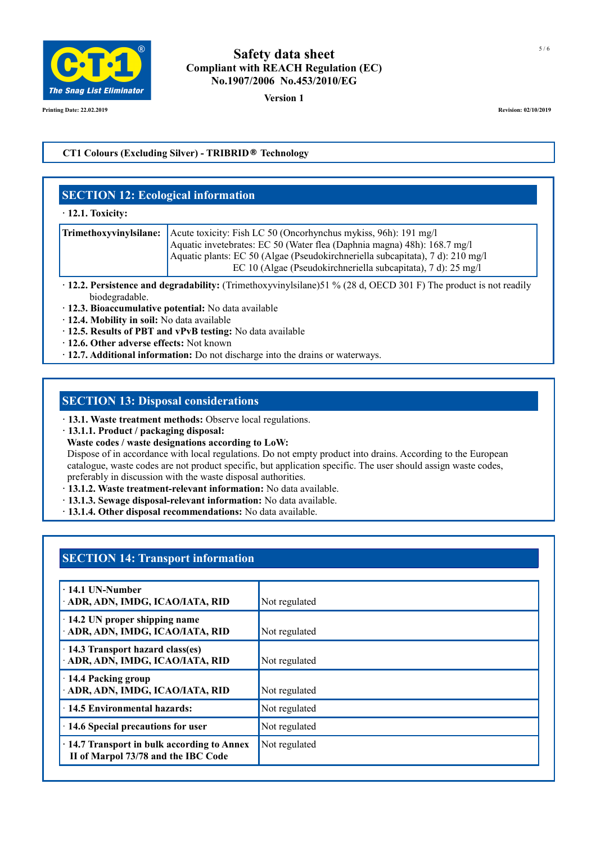

**Version 1**

**Printing Date: 22.02.2019 Revision: 02/10/2019**

#### **CT1 Colours (Excluding Silver) - TRIBRID® Technology**

### **SECTION 12: Ecological information**

#### **· 12.1. Toxicity:**

| <b>Trimethoxyvinylsilane:</b> Acute toxicity: Fish LC 50 (Oncorhynchus mykiss, 96h): 191 mg/l<br>Aquatic invetebrates: EC 50 (Water flea (Daphnia magna) 48h): 168.7 mg/l |  |
|---------------------------------------------------------------------------------------------------------------------------------------------------------------------------|--|
| Aquatic plants: EC 50 (Algae (Pseudokirchneriella subcapitata), 7 d): 210 mg/l<br>EC 10 (Algae (Pseudokirchneriella subcapitata), 7 d): 25 mg/l                           |  |

- **· 12.2. Persistence and degradability:** (Trimethoxyvinylsilane)51 % (28 d, OECD 301 F) The product is not readily biodegradable.
- **· 12.3. Bioaccumulative potential:** No data available
- **· 12.4. Mobility in soil:** No data available
- **· 12.5. Results of PBT and vPvB testing:** No data available
- **· 12.6. Other adverse effects:** Not known
- **· 12.7. Additional information:** Do not discharge into the drains or waterways.

# **SECTION 13: Disposal considerations**

- **· 13.1. Waste treatment methods:** Observe local regulations.
- **· 13.1.1. Product / packaging disposal:**
- **Waste codes / waste designations according to LoW:**

Dispose of in accordance with local regulations. Do not empty product into drains. According to the European catalogue, waste codes are not product specific, but application specific. The user should assign waste codes, preferably in discussion with the waste disposal authorities.

- **· 13.1.2. Waste treatment-relevant information:** No data available.
- **· 13.1.3. Sewage disposal-relevant information:** No data available.
- **· 13.1.4. Other disposal recommendations:** No data available.

### **SECTION 14: Transport information**

| $\cdot$ 14.1 UN-Number<br>· ADR, ADN, IMDG, ICAO/IATA, RID                               | Not regulated |
|------------------------------------------------------------------------------------------|---------------|
| $\cdot$ 14.2 UN proper shipping name<br>· ADR, ADN, IMDG, ICAO/IATA, RID                 | Not regulated |
| $\cdot$ 14.3 Transport hazard class(es)<br>· ADR, ADN, IMDG, ICAO/IATA, RID              | Not regulated |
| · 14.4 Packing group<br>· ADR, ADN, IMDG, ICAO/IATA, RID                                 | Not regulated |
| ⋅ 14.5 Environmental hazards:                                                            | Not regulated |
| 14.6 Special precautions for user                                                        | Not regulated |
| $\cdot$ 14.7 Transport in bulk according to Annex<br>II of Marpol 73/78 and the IBC Code | Not regulated |